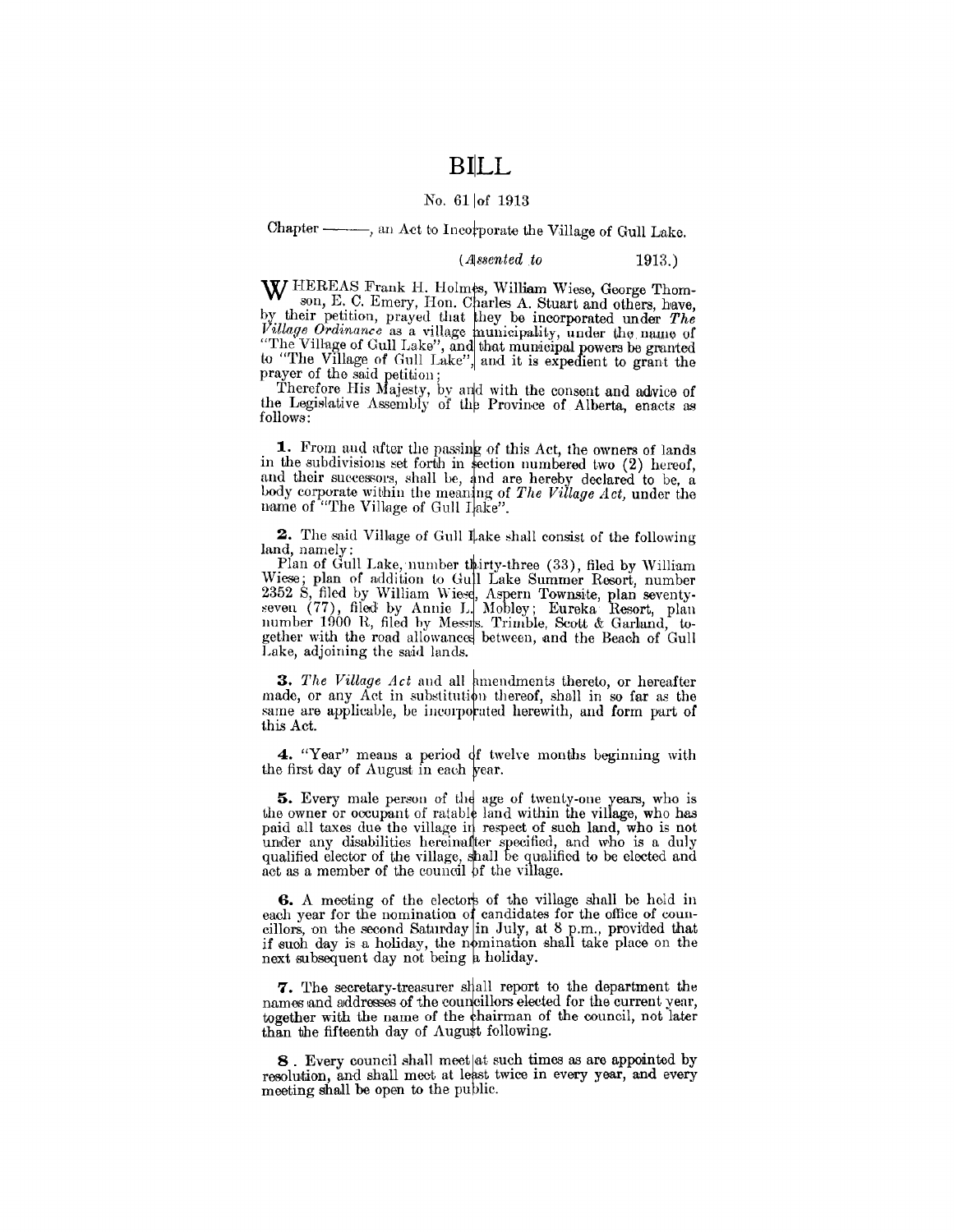## **BILL**

## No. 61 of 1913

Chapter - an Act to Incorporate the Village of Gull Lake.

(Assented to  $1913.$ 

W HEREAS Frank H. Holmes, William Wiese, George Thomson, E. C. Emery, Hon. Charles A. Stuart and others, have, by their petition, prayed that they be incorporated under The Village Ordinance as a village municipality, under the name of<br>"The Village of Gull Lake", and that municipal powers be granted<br>to "The Village of Gull Lake", and it is expedient to grant the prayer of the said petition;

Therefore His Majesty, by and with the consent and advice of<br>the Legislative Assembly of the Province of Alberta, enacts as follows:

1. From and after the passing of this Act, the owners of lands in the subdivisions set forth in section numbered two (2) hereof, and their successors, shall be, and are hereby declared to be, a body corporate within the meaning of The Village Act, under the name of "The Village of Gull Iake".

2. The said Village of Gull Lake shall consist of the following land, namely:

Plan of Gull Lake, number thirty-three (33), filed by William Wiese; plan of addition to Gull Lake Summer Resort, number<br>2352 S, filed by William Wiese, Aspern Townsite, plan seventy-<br>seven (77), filed by Annie L. Mobley; Eureka Resort, plan<br>number 1900 R, filed by Messis. Trimble, S gether with the road allowances between, and the Beach of Gull Lake, adjoining the said lands.

3. The Village Act and all amendments thereto, or hereafter made, or any Act in substitution thereof, shall in so far as the same are applicable, be incorporated herewith, and form part of this Act.

4. "Year" means a period of twelve months beginning with the first day of August in each year.

5. Every male person of the age of twenty-one years, who is the owner or occupant of ratable land within the village, who has paid all taxes due the village in respect of such land, who is not plant and waves the vinage in respect of such faind, who is not<br>under any disabilities hereinalter specified, and who is a duly<br>qualified elector of the village, shall be qualified to be elected and<br>act as a member of the

6. A meeting of the electors of the village shall be held in each year for the nomination of candidates for the office of councillors, on the second Saturday in July, at 8 p.m., provided that if such day is a holiday, the nomination shall take place on the next subsequent day not be

7. The secretary-treasurer shall report to the department the names and addresses of the councillors elected for the current year, together with the name of the chairman of the council, not later than the fifteenth day of August following.

8. Every council shall meet at such times as are appointed by resolution, and shall meet at least twice in every year, and every meeting shall be open to the public.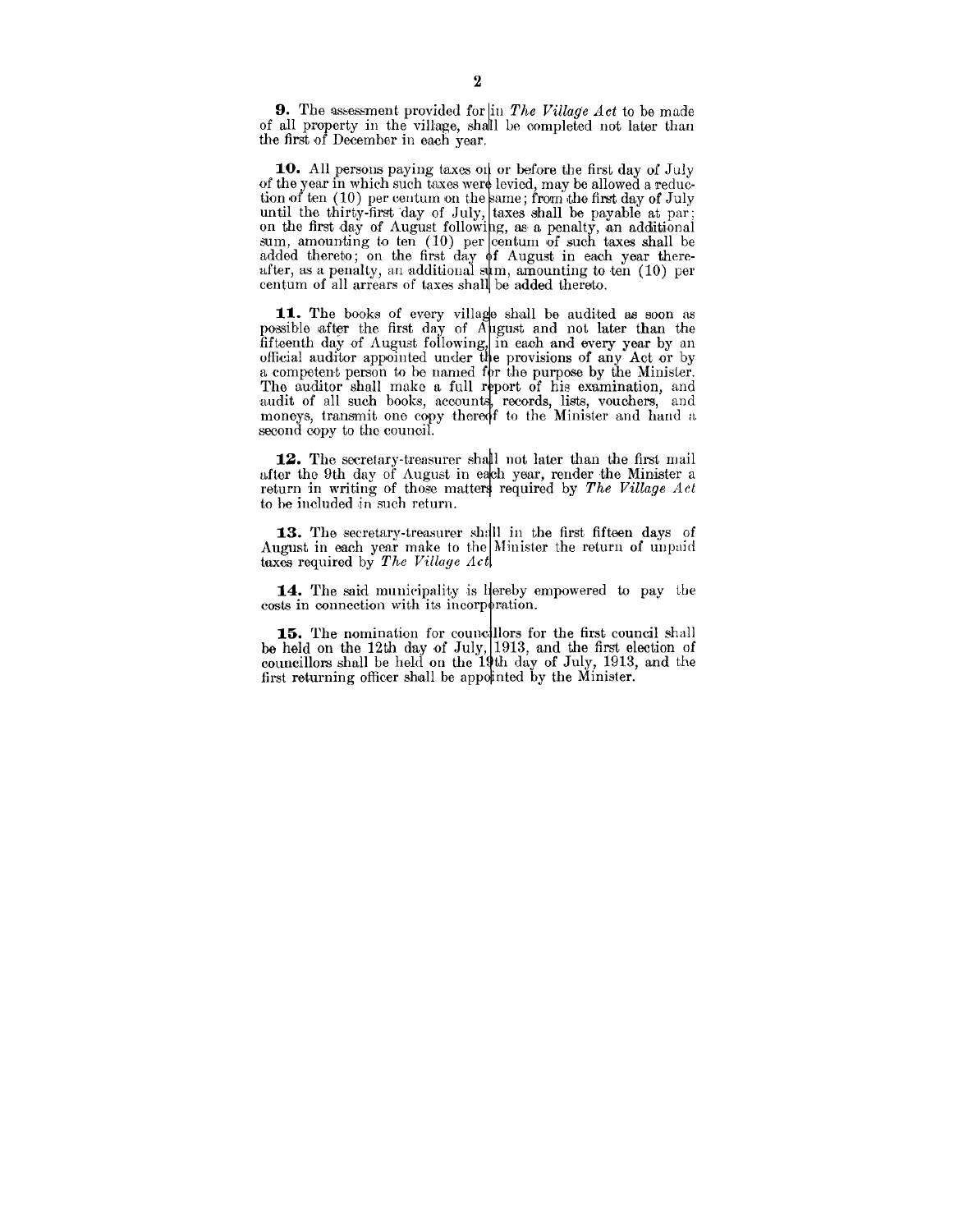**9.** The assessment provided for in *The Village Act* to be made of all property in the village, shalll be completed not later than the first of December in each year.

**10.** All persons paying taxes on or before the first day of July of the year in which such taxes were levied, may be allowed a reduction of ten (10) per centum on the same; from the first day of July until the thirty-first day of July, taxes shall be payable at par; on the first day of August following, as a penalty, an additional  $\text{sum}$ , amounting to ten  $(10)$  per centum of such taxes shall be added thereto; on the first day of August in each year thereafter, as a penalty, an additional sym, amounting to ten  $(10)$  per centum of all arrears of taxes shall be added thereto.

11. The books of every village shall be audited as soon as possible after the first day of *A pgust* and not later than the fifteenth day of August following, in each and every year by an official auditor appointed under the provisions of any Act or by a competent person to be named for the purpose by the Minister. The auditor shall make a full report of his examination, and audit of all such books, accounts, records, lists, vouchers, and moneys, transmit one copy thereof to the Minister and hand a second copy to the council.

12. The secretary-treasurer shall not later than the first mail after the 9th day of August in each year, render the Minister a return in writing of those matters required by *The Village Act* to be included in such return.

13. The secretary-treasurer shall in the first fifteen days of August in each year make to the Minister the return of unpaid taxes required by *The Village Act* 

14. The said municipality is liereby empowered to pay the costs in connection with its incorporation.

15. The nomination for councillors for the first council shall be held on the 12th day of July,  $1913$ , and the first election of councillors shall be held on the  $19$ th day of July,  $1913$ , and the first returning officer shall be appointed by the Minister.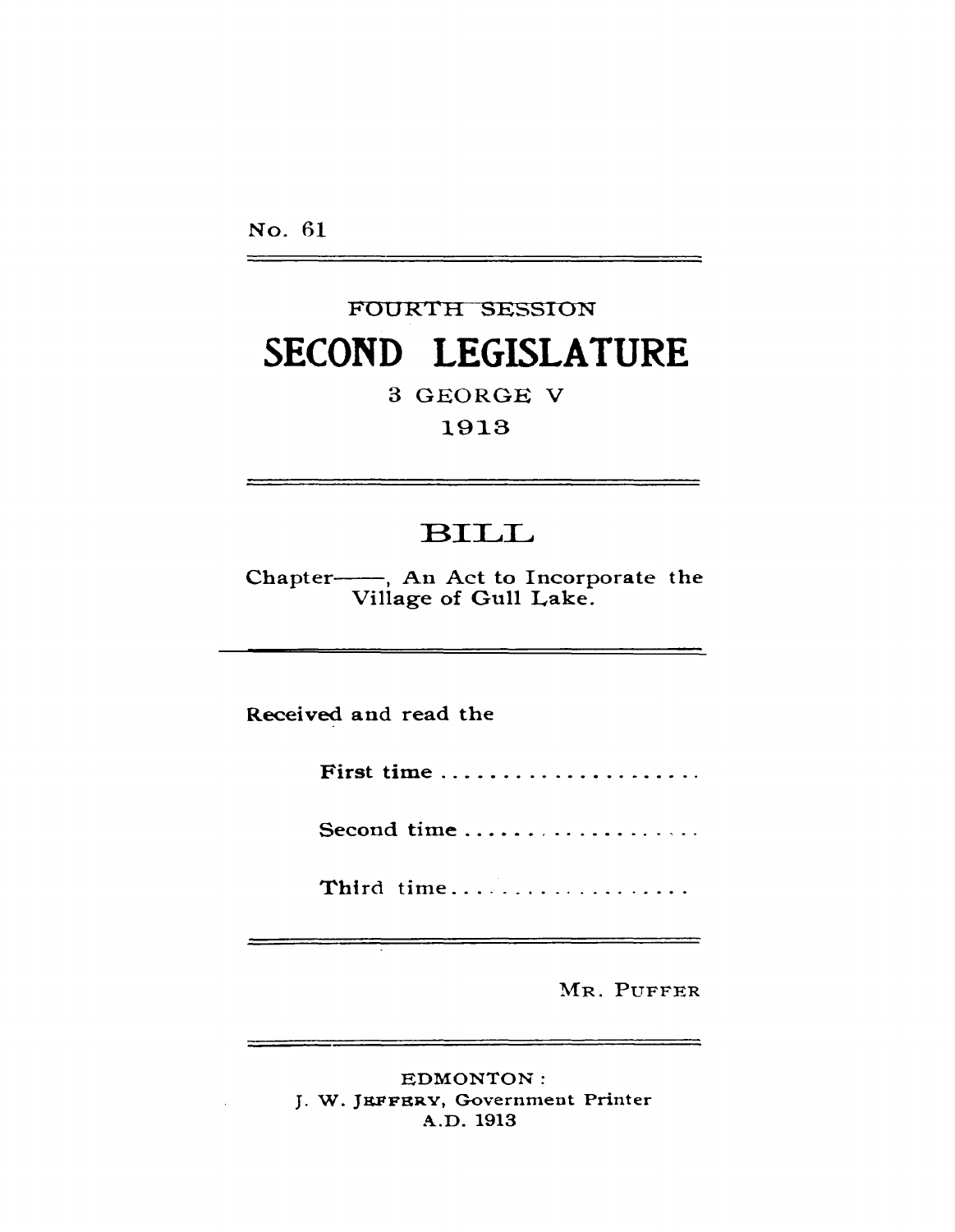No. 61

## FOURTH SESSION **SECOND LEGISLATURE**

3 GEORGE V

1913

## BILL

Chapter-, An Act to Incorporate the Village of Gull Lake.

Received and read the

First time ......................

Second time ...................

Third time...................

MR. PUFFER

EDMONTON: J. W. JEFFERY, Government Printer A.D. 1913